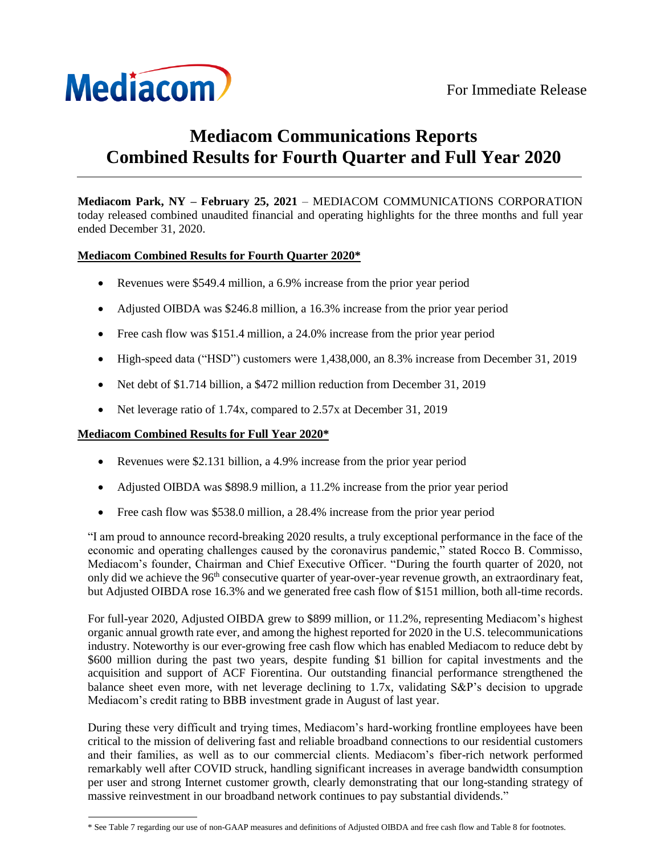

# **Mediacom Communications Reports Combined Results for Fourth Quarter and Full Year 2020**

**Mediacom Park, NY – February 25, 2021** – MEDIACOM COMMUNICATIONS CORPORATION today released combined unaudited financial and operating highlights for the three months and full year ended December 31, 2020.

# **Mediacom Combined Results for Fourth Quarter 2020\***

- Revenues were \$549.4 million, a 6.9% increase from the prior year period
- Adjusted OIBDA was \$246.8 million, a 16.3% increase from the prior year period
- Free cash flow was \$151.4 million, a 24.0% increase from the prior year period
- High-speed data ("HSD") customers were 1,438,000, an 8.3% increase from December 31, 2019
- Net debt of \$1.714 billion, a \$472 million reduction from December 31, 2019
- Net leverage ratio of 1.74x, compared to 2.57x at December 31, 2019

# **Mediacom Combined Results for Full Year 2020\***

- Revenues were \$2.131 billion, a 4.9% increase from the prior year period
- Adjusted OIBDA was \$898.9 million, a 11.2% increase from the prior year period
- Free cash flow was \$538.0 million, a 28.4% increase from the prior year period

"I am proud to announce record-breaking 2020 results, a truly exceptional performance in the face of the economic and operating challenges caused by the coronavirus pandemic," stated Rocco B. Commisso, Mediacom's founder, Chairman and Chief Executive Officer. "During the fourth quarter of 2020, not only did we achieve the 96<sup>th</sup> consecutive quarter of year-over-year revenue growth, an extraordinary feat, but Adjusted OIBDA rose 16.3% and we generated free cash flow of \$151 million, both all-time records.

For full-year 2020, Adjusted OIBDA grew to \$899 million, or 11.2%, representing Mediacom's highest organic annual growth rate ever, and among the highest reported for 2020 in the U.S. telecommunications industry. Noteworthy is our ever-growing free cash flow which has enabled Mediacom to reduce debt by \$600 million during the past two years, despite funding \$1 billion for capital investments and the acquisition and support of ACF Fiorentina. Our outstanding financial performance strengthened the balance sheet even more, with net leverage declining to 1.7x, validating S&P's decision to upgrade Mediacom's credit rating to BBB investment grade in August of last year.

During these very difficult and trying times, Mediacom's hard-working frontline employees have been critical to the mission of delivering fast and reliable broadband connections to our residential customers and their families, as well as to our commercial clients. Mediacom's fiber-rich network performed remarkably well after COVID struck, handling significant increases in average bandwidth consumption per user and strong Internet customer growth, clearly demonstrating that our long-standing strategy of massive reinvestment in our broadband network continues to pay substantial dividends."

<sup>\*</sup> See Table 7 regarding our use of non-GAAP measures and definitions of Adjusted OIBDA and free cash flow and Table 8 for footnotes.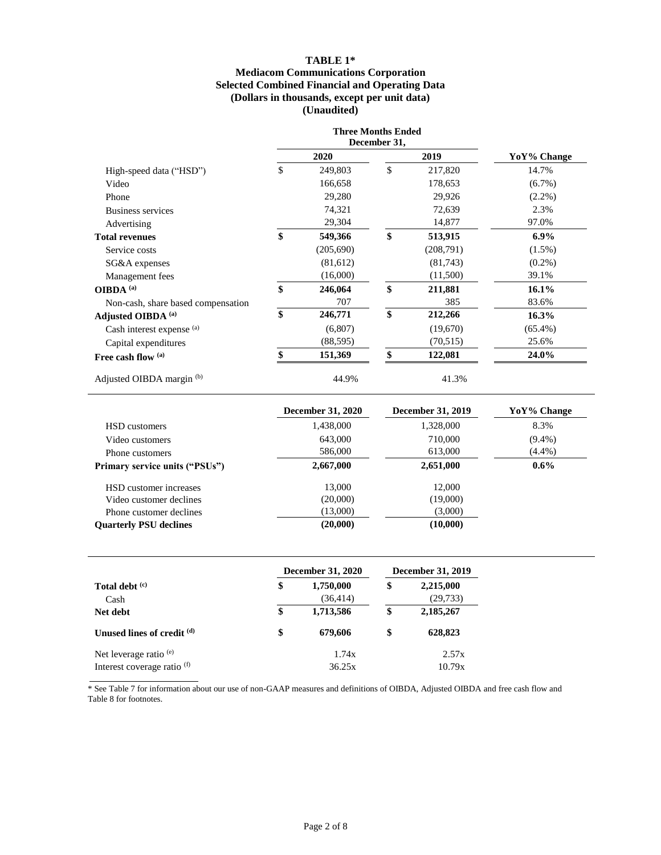## **TABLE 1\* Mediacom Communications Corporation Selected Combined Financial and Operating Data (Dollars in thousands, except per unit data) (Unaudited)**

|                                    |      | <b>Three Months Ended</b><br>December 31, |               |             |
|------------------------------------|------|-------------------------------------------|---------------|-------------|
|                                    | 2020 |                                           | 2019          | YoY% Change |
| High-speed data ("HSD")            | \$   | 249,803                                   | \$<br>217,820 | 14.7%       |
| Video                              |      | 166,658                                   | 178,653       | $(6.7\%)$   |
| Phone                              |      | 29,280                                    | 29,926        | $(2.2\%)$   |
| Business services                  |      | 74,321                                    | 72,639        | 2.3%        |
| Advertising                        |      | 29,304                                    | 14,877        | 97.0%       |
| <b>Total revenues</b>              | \$   | 549,366                                   | \$<br>513,915 | $6.9\%$     |
| Service costs                      |      | (205,690)                                 | (208,791)     | $(1.5\%)$   |
| SG&A expenses                      |      | (81,612)                                  | (81,743)      | $(0.2\%)$   |
| Management fees                    |      | (16,000)                                  | (11,500)      | 39.1%       |
| OIBDA <sup>(a)</sup>               | \$   | 246,064                                   | \$<br>211,881 | $16.1\%$    |
| Non-cash, share based compensation |      | 707                                       | 385           | 83.6%       |
| Adjusted OIBDA (a)                 | \$   | 246,771                                   | \$<br>212,266 | 16.3%       |
| Cash interest expense (a)          |      | (6,807)                                   | (19,670)      | $(65.4\%)$  |
| Capital expenditures               |      | (88, 595)                                 | (70,515)      | 25.6%       |
| Free cash flow (a)                 | \$   | 151,369                                   | \$<br>122,081 | 24.0%       |
| Adjusted OIBDA margin (b)          |      | 44.9%                                     | 41.3%         |             |

|                                       | <b>December 31, 2020</b> | December 31, 2019 | YoY% Change |
|---------------------------------------|--------------------------|-------------------|-------------|
| <b>HSD</b> customers                  | 1,438,000                | 1,328,000         | 8.3%        |
| Video customers                       | 643,000                  | 710,000           | $(9.4\%)$   |
| Phone customers                       | 586,000                  | 613,000           | $(4.4\%)$   |
| <b>Primary service units ("PSUs")</b> | 2,667,000                | 2,651,000         | $0.6\%$     |
| HSD customer increases                | 13,000                   | 12,000            |             |
| Video customer declines               | (20,000)                 | (19,000)          |             |
| Phone customer declines               | (13,000)                 | (3,000)           |             |
| <b>Ouarterly PSU declines</b>         | (20,000)                 | (10,000)          |             |

÷

|                                        | <b>December 31, 2020</b>     | December 31, 2019 |                        |  |
|----------------------------------------|------------------------------|-------------------|------------------------|--|
| Total debt (c)<br>Cash                 | \$<br>1,750,000<br>(36, 414) | \$                | 2,215,000<br>(29, 733) |  |
| Net debt                               | \$<br>1,713,586              | \$                | 2,185,267              |  |
| Unused lines of credit (d)             | \$<br>679,606                | \$                | 628,823                |  |
| Net leverage ratio $(e)$               | 1.74x                        |                   | 2.57x                  |  |
| Interest coverage ratio <sup>(f)</sup> | 36.25x                       |                   | 10.79x                 |  |

\* See Table 7 for information about our use of non-GAAP measures and definitions of OIBDA, Adjusted OIBDA and free cash flow and Table 8 for footnotes.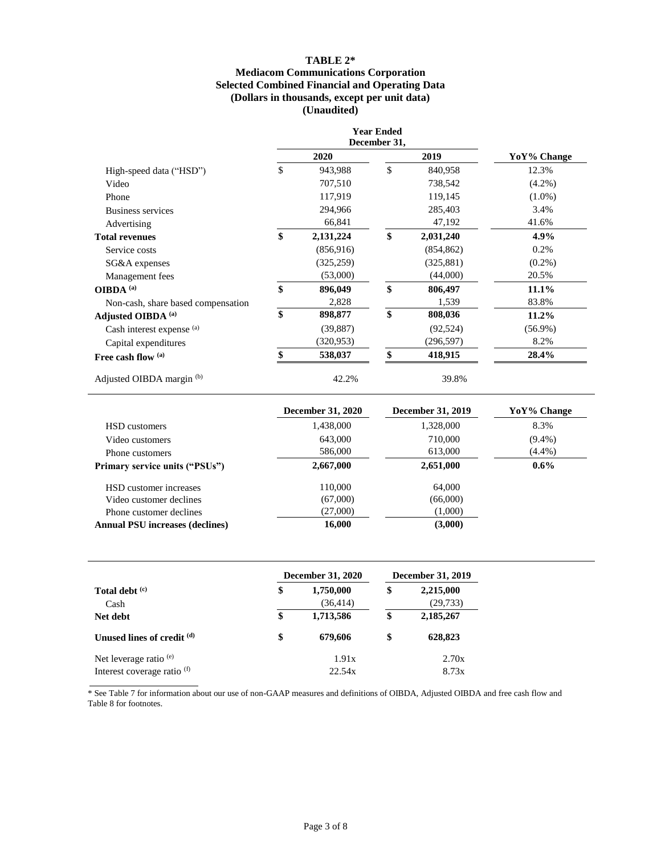## **TABLE 2\* Mediacom Communications Corporation Selected Combined Financial and Operating Data (Dollars in thousands, except per unit data) (Unaudited)**

|                                    |      | <b>Year Ended</b><br>December 31, |      |                   |             |
|------------------------------------|------|-----------------------------------|------|-------------------|-------------|
|                                    | 2020 |                                   | 2019 |                   | YoY% Change |
| High-speed data ("HSD")            | \$   | 943,988                           | \$   | 840,958           | 12.3%       |
| Video                              |      | 707,510                           |      | 738,542           | $(4.2\%)$   |
| Phone                              |      | 117,919                           |      | 119,145           | $(1.0\%)$   |
| Business services                  |      | 294,966                           |      | 285,403           | 3.4%        |
| Advertising                        |      | 66,841                            |      | 47,192            | 41.6%       |
| <b>Total revenues</b>              | \$   | 2,131,224                         | \$   | 2,031,240         | 4.9%        |
| Service costs                      |      | (856, 916)                        |      | (854, 862)        | 0.2%        |
| SG&A expenses                      |      | (325, 259)                        |      | (325, 881)        | $(0.2\%)$   |
| Management fees                    |      | (53,000)                          |      | (44,000)          | 20.5%       |
| OIBDA <sup>(a)</sup>               | \$   | 896,049                           | \$   | 806,497           | 11.1%       |
| Non-cash, share based compensation |      | 2,828                             |      | 1,539             | 83.8%       |
| Adjusted OIBDA (a)                 | \$   | 898,877                           | \$   | 808,036           | 11.2%       |
| Cash interest expense (a)          |      | (39, 887)                         |      | (92, 524)         | $(56.9\%)$  |
| Capital expenditures               |      | (320, 953)                        |      | (296, 597)        | 8.2%        |
| Free cash flow (a)                 | \$   | 538,037                           | \$   | 418,915           | 28.4%       |
| Adjusted OIBDA margin (b)          |      | 42.2%                             |      | 39.8%             |             |
|                                    |      | <b>December 31, 2020</b>          |      | December 31, 2019 | YoY% Change |

|                                        | December 31, 2020 | December 31, 2019 | Yo Y % Change |
|----------------------------------------|-------------------|-------------------|---------------|
| HSD customers                          | 1,438,000         | 1,328,000         | 8.3%          |
| Video customers                        | 643,000           | 710,000           | $(9.4\%)$     |
| Phone customers                        | 586,000           | 613,000           | $(4.4\%)$     |
| <b>Primary service units ("PSUs")</b>  | 2,667,000         | 2,651,000         | $0.6\%$       |
| HSD customer increases                 | 110,000           | 64,000            |               |
| Video customer declines                | (67,000)          | (66,000)          |               |
| Phone customer declines                | (27,000)          | (1,000)           |               |
| <b>Annual PSU increases (declines)</b> | 16,000            | (3,000)           |               |
|                                        |                   |                   |               |

|                                        | <b>December 31, 2020</b>     | December 31, 2019 |                        |  |
|----------------------------------------|------------------------------|-------------------|------------------------|--|
| Total debt (c)<br>Cash                 | \$<br>1,750,000<br>(36, 414) | \$                | 2,215,000<br>(29, 733) |  |
| Net debt                               | \$<br>1,713,586              | \$                | 2,185,267              |  |
| Unused lines of credit <sup>(d)</sup>  | \$<br>679,606                | \$                | 628,823                |  |
| Net leverage ratio $(e)$               | 1.91x                        |                   | 2.70x                  |  |
| Interest coverage ratio <sup>(f)</sup> | 22.54x                       |                   | 8.73x                  |  |

\* See Table 7 for information about our use of non-GAAP measures and definitions of OIBDA, Adjusted OIBDA and free cash flow and Table 8 for footnotes.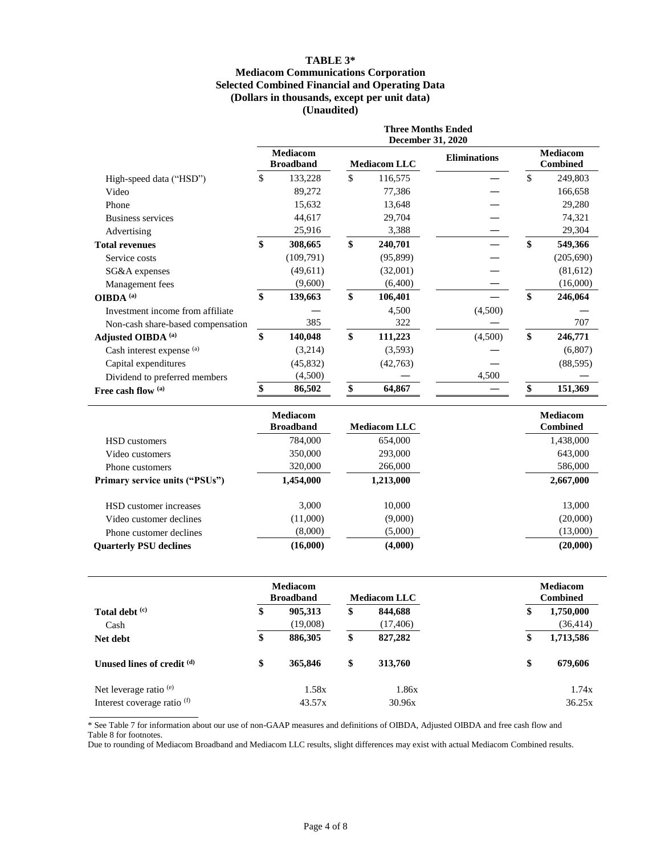## **TABLE 3\* Mediacom Communications Corporation Selected Combined Financial and Operating Data (Dollars in thousands, except per unit data) (Unaudited)**

|                                   | <b>Three Months Ended</b><br><b>December 31, 2020</b> |                                     |    |                     |                     |    |                                    |
|-----------------------------------|-------------------------------------------------------|-------------------------------------|----|---------------------|---------------------|----|------------------------------------|
|                                   |                                                       | <b>Mediacom</b><br><b>Broadband</b> |    | <b>Mediacom LLC</b> | <b>Eliminations</b> |    | <b>Mediacom</b><br><b>Combined</b> |
| High-speed data ("HSD")           | \$                                                    | 133,228                             | \$ | 116,575             |                     | \$ | 249,803                            |
| Video                             |                                                       | 89,272                              |    | 77,386              |                     |    | 166,658                            |
| Phone                             |                                                       | 15,632                              |    | 13,648              |                     |    | 29,280                             |
| <b>Business services</b>          |                                                       | 44,617                              |    | 29,704              |                     |    | 74,321                             |
| Advertising                       |                                                       | 25,916                              |    | 3,388               |                     |    | 29,304                             |
| <b>Total revenues</b>             | \$                                                    | 308,665                             | \$ | 240,701             |                     | \$ | 549,366                            |
| Service costs                     |                                                       | (109,791)                           |    | (95, 899)           |                     |    | (205, 690)                         |
| SG&A expenses                     |                                                       | (49,611)                            |    | (32,001)            |                     |    | (81,612)                           |
| Management fees                   |                                                       | (9,600)                             |    | (6,400)             |                     |    | (16,000)                           |
| OIBDA <sup>(a)</sup>              | \$                                                    | 139,663                             | \$ | 106,401             |                     | \$ | 246,064                            |
| Investment income from affiliate  |                                                       |                                     |    | 4,500               | (4,500)             |    |                                    |
| Non-cash share-based compensation |                                                       | 385                                 |    | 322                 |                     |    | 707                                |
| Adjusted OIBDA (a)                | \$                                                    | 140,048                             | \$ | 111,223             | (4,500)             | \$ | 246,771                            |
| Cash interest expense (a)         |                                                       | (3,214)                             |    | (3,593)             |                     |    | (6,807)                            |
| Capital expenditures              |                                                       | (45, 832)                           |    | (42,763)            |                     |    | (88, 595)                          |
| Dividend to preferred members     |                                                       | (4,500)                             |    |                     | 4,500               |    |                                    |
| Free cash flow (a)                | \$                                                    | 86,502                              | \$ | 64,867              |                     | \$ | 151,369                            |

|                                       | <b>Mediacom</b><br><b>Broadband</b> | <b>Mediacom LLC</b> | <b>Mediacom</b><br><b>Combined</b> |
|---------------------------------------|-------------------------------------|---------------------|------------------------------------|
| <b>HSD</b> customers                  | 784,000                             | 654,000             | 1,438,000                          |
| Video customers                       | 350,000                             | 293,000             | 643,000                            |
| Phone customers                       | 320,000                             | 266,000             | 586,000                            |
| <b>Primary service units ("PSUs")</b> | 1,454,000                           | 1,213,000           | 2,667,000                          |
| HSD customer increases                | 3.000                               | 10,000              | 13,000                             |
| Video customer declines               | (11,000)                            | (9,000)             | (20,000)                           |
| Phone customer declines               | (8,000)                             | (5,000)             | (13,000)                           |
| <b>Ouarterly PSU declines</b>         | (16,000)                            | (4,000)             | (20,000)                           |

|                             | <b>Mediacom</b><br><b>Broadband</b> |                     | <b>Mediacom LLC</b> |                      | <b>Mediacom</b><br><b>Combined</b> |                        |
|-----------------------------|-------------------------------------|---------------------|---------------------|----------------------|------------------------------------|------------------------|
| Total debt (c)<br>Cash      | \$                                  | 905,313<br>(19,008) | \$                  | 844,688<br>(17, 406) | \$                                 | 1,750,000<br>(36, 414) |
| Net debt                    | \$                                  | 886,305             | \$                  | 827,282              | \$                                 | 1,713,586              |
| Unused lines of credit (d)  | \$                                  | 365,846             | \$                  | 313,760              | \$                                 | 679,606                |
| Net leverage ratio $(e)$    |                                     | 1.58x               |                     | 1.86x                |                                    | 1.74x                  |
| Interest coverage ratio (f) |                                     | 43.57x              |                     | 30.96x               |                                    | 36.25x                 |

\* See Table 7 for information about our use of non-GAAP measures and definitions of OIBDA, Adjusted OIBDA and free cash flow and Table 8 for footnotes.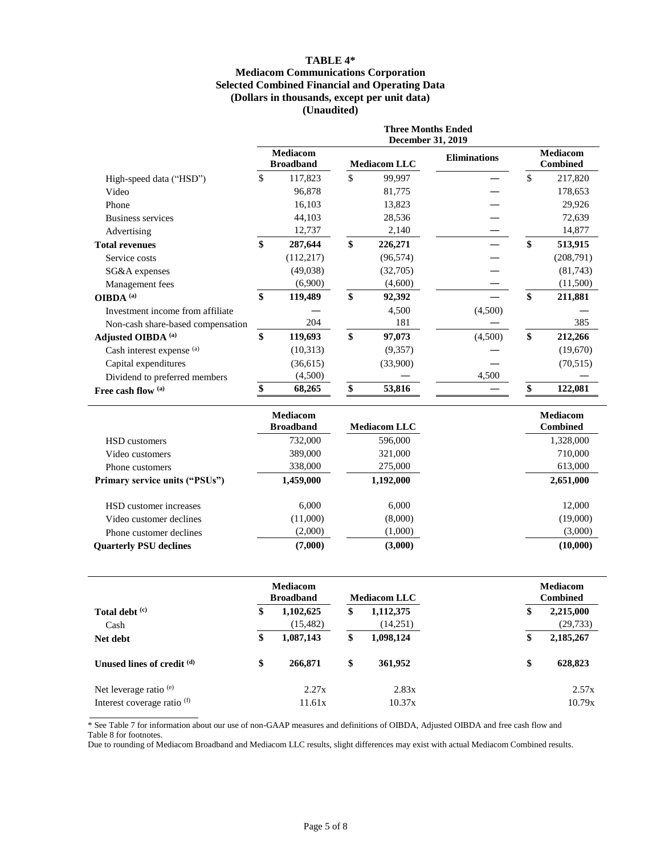## **TABLE 4\* Mediacom Communications Corporation Selected Combined Financial and Operating Data (Dollars in thousands, except per unit data) (Unaudited)**

|                                   | <b>Three Months Ended</b><br><b>December 31, 2019</b> |                                     |    |                     |                     |    |                                    |
|-----------------------------------|-------------------------------------------------------|-------------------------------------|----|---------------------|---------------------|----|------------------------------------|
|                                   |                                                       | <b>Mediacom</b><br><b>Broadband</b> |    | <b>Mediacom LLC</b> | <b>Eliminations</b> |    | <b>Mediacom</b><br><b>Combined</b> |
| High-speed data ("HSD")           | \$                                                    | 117,823                             | \$ | 99,997              |                     | \$ | 217,820                            |
| Video                             |                                                       | 96,878                              |    | 81,775              |                     |    | 178,653                            |
| Phone                             |                                                       | 16,103                              |    | 13,823              |                     |    | 29,926                             |
| <b>Business services</b>          |                                                       | 44,103                              |    | 28,536              |                     |    | 72,639                             |
| Advertising                       |                                                       | 12,737                              |    | 2,140               |                     |    | 14,877                             |
| <b>Total revenues</b>             | \$                                                    | 287,644                             | \$ | 226,271             |                     | \$ | 513,915                            |
| Service costs                     |                                                       | (112, 217)                          |    | (96, 574)           |                     |    | (208,791)                          |
| SG&A expenses                     |                                                       | (49,038)                            |    | (32,705)            |                     |    | (81,743)                           |
| Management fees                   |                                                       | (6,900)                             |    | (4,600)             |                     |    | (11,500)                           |
| OIBDA <sup>(a)</sup>              | \$                                                    | 119,489                             | \$ | 92,392              |                     | \$ | 211,881                            |
| Investment income from affiliate  |                                                       |                                     |    | 4,500               | (4,500)             |    |                                    |
| Non-cash share-based compensation |                                                       | 204                                 |    | 181                 |                     |    | 385                                |
| Adjusted OIBDA (a)                | \$                                                    | 119,693                             | \$ | 97,073              | (4,500)             | \$ | 212,266                            |
| Cash interest expense (a)         |                                                       | (10,313)                            |    | (9,357)             |                     |    | (19,670)                           |
| Capital expenditures              |                                                       | (36,615)                            |    | (33,900)            |                     |    | (70, 515)                          |
| Dividend to preferred members     |                                                       | (4,500)                             |    |                     | 4,500               |    |                                    |
| Free cash flow (a)                | \$                                                    | 68,265                              | \$ | 53,816              |                     | \$ | 122,081                            |

|                                       | <b>Mediacom</b><br><b>Broadband</b> | <b>Mediacom LLC</b> | <b>Mediacom</b><br><b>Combined</b> |
|---------------------------------------|-------------------------------------|---------------------|------------------------------------|
| <b>HSD</b> customers                  | 732,000                             | 596,000             | 1,328,000                          |
| Video customers                       | 389,000                             | 321,000             | 710,000                            |
| Phone customers                       | 338,000                             | 275,000             | 613,000                            |
| <b>Primary service units ("PSUs")</b> | 1,459,000                           | 1,192,000           | 2,651,000                          |
| HSD customer increases                | 6.000                               | 6.000               | 12,000                             |
| Video customer declines               | (11,000)                            | (8,000)             | (19,000)                           |
| Phone customer declines               | (2,000)                             | (1,000)             | (3,000)                            |
| <b>Ouarterly PSU declines</b>         | (7,000)                             | (3,000)             | (10,000)                           |

|                                        | <b>Mediacom</b><br><b>Broadband</b> |    | <b>Mediacom LLC</b> | <b>Mediacom</b><br><b>Combined</b> |           |
|----------------------------------------|-------------------------------------|----|---------------------|------------------------------------|-----------|
| Total debt (c)                         | \$<br>1,102,625                     | \$ | 1,112,375           | \$                                 | 2,215,000 |
| Cash                                   | (15, 482)                           |    | (14,251)            |                                    | (29, 733) |
| Net debt                               | \$<br>1,087,143                     | \$ | 1,098,124           | \$                                 | 2,185,267 |
| Unused lines of credit (d)             | \$<br>266,871                       | \$ | 361,952             | \$                                 | 628,823   |
| Net leverage ratio $(e)$               | 2.27x                               |    | 2.83x               |                                    | 2.57x     |
| Interest coverage ratio <sup>(f)</sup> | 11.61x                              |    | 10.37x              |                                    | 10.79x    |

\* See Table 7 for information about our use of non-GAAP measures and definitions of OIBDA, Adjusted OIBDA and free cash flow and Table 8 for footnotes.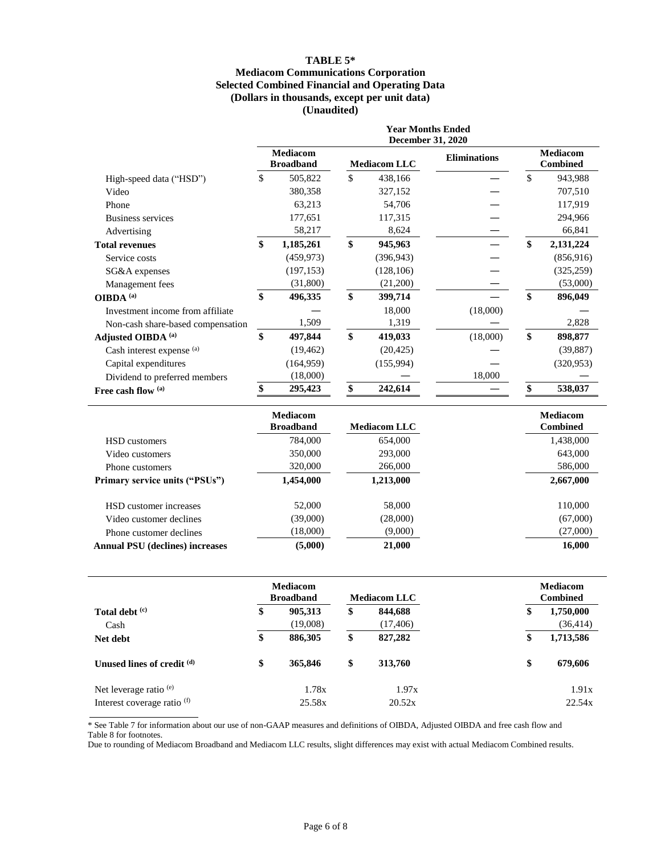## **TABLE 5\* Mediacom Communications Corporation Selected Combined Financial and Operating Data (Dollars in thousands, except per unit data) (Unaudited)**

|                                   | <b>Year Months Ended</b><br><b>December 31, 2020</b> |                                     |    |                     |                     |    |                                    |
|-----------------------------------|------------------------------------------------------|-------------------------------------|----|---------------------|---------------------|----|------------------------------------|
|                                   |                                                      | <b>Mediacom</b><br><b>Broadband</b> |    | <b>Mediacom LLC</b> | <b>Eliminations</b> |    | <b>Mediacom</b><br><b>Combined</b> |
| High-speed data ("HSD")           | \$                                                   | 505,822                             | \$ | 438,166             |                     | \$ | 943,988                            |
| Video                             |                                                      | 380,358                             |    | 327,152             |                     |    | 707,510                            |
| Phone                             |                                                      | 63,213                              |    | 54,706              |                     |    | 117,919                            |
| <b>Business services</b>          |                                                      | 177,651                             |    | 117,315             |                     |    | 294,966                            |
| Advertising                       |                                                      | 58,217                              |    | 8,624               |                     |    | 66,841                             |
| <b>Total revenues</b>             | \$                                                   | 1,185,261                           | \$ | 945,963             |                     | \$ | 2,131,224                          |
| Service costs                     |                                                      | (459, 973)                          |    | (396, 943)          |                     |    | (856, 916)                         |
| SG&A expenses                     |                                                      | (197, 153)                          |    | (128, 106)          |                     |    | (325, 259)                         |
| Management fees                   |                                                      | (31,800)                            |    | (21,200)            |                     |    | (53,000)                           |
| OIBDA <sup>(a)</sup>              | \$                                                   | 496,335                             | \$ | 399,714             |                     | \$ | 896,049                            |
| Investment income from affiliate  |                                                      |                                     |    | 18,000              | (18,000)            |    |                                    |
| Non-cash share-based compensation |                                                      | 1,509                               |    | 1,319               |                     |    | 2,828                              |
| Adjusted OIBDA <sup>(a)</sup>     | \$                                                   | 497,844                             | \$ | 419,033             | (18,000)            | \$ | 898,877                            |
| Cash interest expense (a)         |                                                      | (19, 462)                           |    | (20, 425)           |                     |    | (39, 887)                          |
| Capital expenditures              |                                                      | (164, 959)                          |    | (155,994)           |                     |    | (320, 953)                         |
| Dividend to preferred members     |                                                      | (18,000)                            |    |                     | 18,000              |    |                                    |
| Free cash flow (a)                |                                                      | 295,423                             |    | 242,614             |                     |    | 538,037                            |

|                                        | <b>Mediacom</b>  |                     | <b>Mediacom</b> |
|----------------------------------------|------------------|---------------------|-----------------|
|                                        | <b>Broadband</b> | <b>Mediacom LLC</b> | <b>Combined</b> |
| <b>HSD</b> customers                   | 784,000          | 654,000             | 1,438,000       |
| Video customers                        | 350,000          | 293,000             | 643,000         |
| Phone customers                        | 320,000          | 266,000             | 586,000         |
| <b>Primary service units ("PSUs")</b>  | 1,454,000        | 1,213,000           | 2,667,000       |
| HSD customer increases                 | 52,000           | 58,000              | 110,000         |
| Video customer declines                | (39,000)         | (28,000)            | (67,000)        |
| Phone customer declines                | (18,000)         | (9,000)             | (27,000)        |
| <b>Annual PSU</b> (declines) increases | (5,000)          | 21,000              | 16,000          |

|                             | <b>Mediacom</b><br><b>Broadband</b> |    | <b>Mediacom LLC</b> | <b>Mediacom</b><br><b>Combined</b> |           |
|-----------------------------|-------------------------------------|----|---------------------|------------------------------------|-----------|
| Total debt (c)              | \$<br>905,313                       | \$ | 844,688             | \$                                 | 1,750,000 |
| Cash                        | (19,008)                            |    | (17, 406)           |                                    | (36, 414) |
| Net debt                    | \$<br>886,305                       | \$ | 827,282             | \$                                 | 1,713,586 |
| Unused lines of credit (d)  | \$<br>365,846                       | \$ | 313,760             | \$                                 | 679,606   |
| Net leverage ratio $(e)$    | 1.78x                               |    | 1.97x               |                                    | 1.91x     |
| Interest coverage ratio (f) | 25.58x                              |    | 20.52x              |                                    | 22.54x    |

\* See Table 7 for information about our use of non-GAAP measures and definitions of OIBDA, Adjusted OIBDA and free cash flow and Table 8 for footnotes.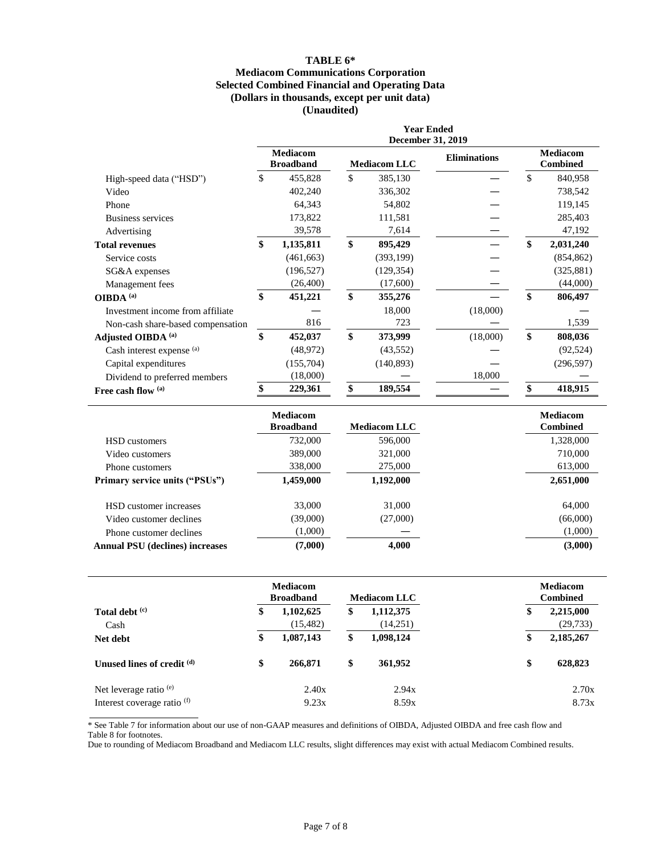## **TABLE 6\* Mediacom Communications Corporation Selected Combined Financial and Operating Data (Dollars in thousands, except per unit data) (Unaudited)**

|                                   | <b>Year Ended</b><br>December 31, 2019 |                                     |    |                     |                     |    |                                    |
|-----------------------------------|----------------------------------------|-------------------------------------|----|---------------------|---------------------|----|------------------------------------|
|                                   |                                        | <b>Mediacom</b><br><b>Broadband</b> |    | <b>Mediacom LLC</b> | <b>Eliminations</b> |    | <b>Mediacom</b><br><b>Combined</b> |
| High-speed data ("HSD")           | \$                                     | 455,828                             | \$ | 385,130             |                     | \$ | 840,958                            |
| Video                             |                                        | 402,240                             |    | 336,302             |                     |    | 738,542                            |
| Phone                             |                                        | 64,343                              |    | 54,802              |                     |    | 119,145                            |
| Business services                 |                                        | 173,822                             |    | 111,581             |                     |    | 285,403                            |
| Advertising                       |                                        | 39,578                              |    | 7,614               |                     |    | 47,192                             |
| <b>Total revenues</b>             | \$                                     | 1,135,811                           | \$ | 895,429             |                     | \$ | 2,031,240                          |
| Service costs                     |                                        | (461, 663)                          |    | (393, 199)          |                     |    | (854, 862)                         |
| SG&A expenses                     |                                        | (196, 527)                          |    | (129, 354)          |                     |    | (325, 881)                         |
| Management fees                   |                                        | (26,400)                            |    | (17,600)            |                     |    | (44,000)                           |
| OIBDA <sup>(a)</sup>              | \$                                     | 451,221                             | \$ | 355,276             |                     | \$ | 806,497                            |
| Investment income from affiliate  |                                        |                                     |    | 18,000              | (18,000)            |    |                                    |
| Non-cash share-based compensation |                                        | 816                                 |    | 723                 |                     |    | 1,539                              |
| Adjusted OIBDA (a)                | \$                                     | 452,037                             | \$ | 373,999             | (18,000)            | \$ | 808,036                            |
| Cash interest expense (a)         |                                        | (48,972)                            |    | (43, 552)           |                     |    | (92, 524)                          |
| Capital expenditures              |                                        | (155,704)                           |    | (140, 893)          |                     |    | (296, 597)                         |
| Dividend to preferred members     |                                        | (18,000)                            |    |                     | 18,000              |    |                                    |
| Free cash flow (a)                |                                        | 229,361                             | \$ | 189,554             |                     |    | 418,915                            |

|                                        | <b>Mediacom</b><br><b>Broadband</b> | <b>Mediacom LLC</b> | <b>Mediacom</b><br><b>Combined</b> |
|----------------------------------------|-------------------------------------|---------------------|------------------------------------|
| <b>HSD</b> customers                   | 732,000                             | 596,000             | 1,328,000                          |
| Video customers                        | 389,000                             | 321,000             | 710,000                            |
| Phone customers                        | 338,000                             | 275,000             | 613,000                            |
| <b>Primary service units ("PSUs")</b>  | 1,459,000                           | 1,192,000           | 2,651,000                          |
| HSD customer increases                 | 33,000                              | 31,000              | 64,000                             |
| Video customer declines                | (39,000)                            | (27,000)            | (66,000)                           |
| Phone customer declines                | (1,000)                             |                     | (1,000)                            |
| <b>Annual PSU</b> (declines) increases | (7,000)                             | 4.000               | (3,000)                            |

|                             | <b>Mediacom</b><br><b>Broadband</b> |                        | <b>Mediacom LLC</b> |                       | <b>Mediacom</b><br><b>Combined</b> |                        |
|-----------------------------|-------------------------------------|------------------------|---------------------|-----------------------|------------------------------------|------------------------|
| Total debt (c)<br>Cash      | \$                                  | 1,102,625<br>(15, 482) | \$                  | 1,112,375<br>(14,251) | \$                                 | 2,215,000<br>(29, 733) |
| Net debt                    | \$                                  | 1,087,143              | \$                  | 1,098,124             | \$                                 | 2,185,267              |
| Unused lines of credit (d)  | \$                                  | 266,871                | \$                  | 361,952               | \$                                 | 628,823                |
| Net leverage ratio $(e)$    |                                     | 2.40x                  |                     | 2.94x                 |                                    | 2.70x                  |
| Interest coverage ratio (f) |                                     | 9.23x                  |                     | 8.59x                 |                                    | 8.73x                  |

\* See Table 7 for information about our use of non-GAAP measures and definitions of OIBDA, Adjusted OIBDA and free cash flow and Table 8 for footnotes.